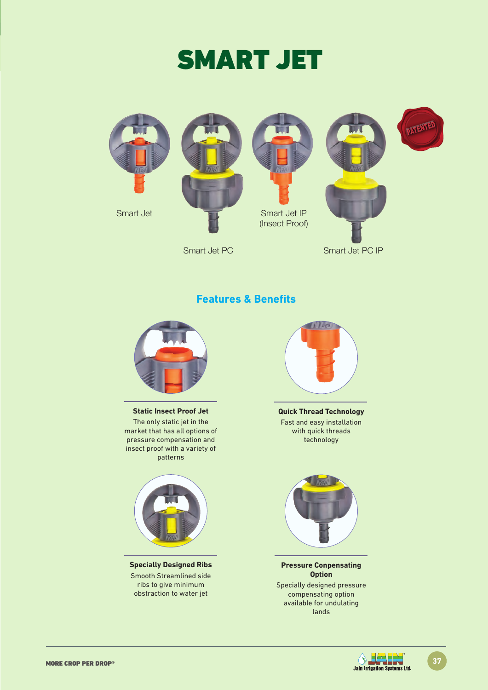



Smart Jet PC Smart Jet PC IP

### **Features & Benefits**



**Static Insect Proof Jet** 

The only static jet in the market that has all options of pressure compensation and insect proof with a variety of patterns



**Specially Designed Ribs** Smooth Streamlined side ribs to give minimum obstraction to water jet



**Quick Thread Technology**  Fast and easy installation with quick threads technology



**Pressure Conpensating Option** Specially designed pressure compensating option available for undulating lands



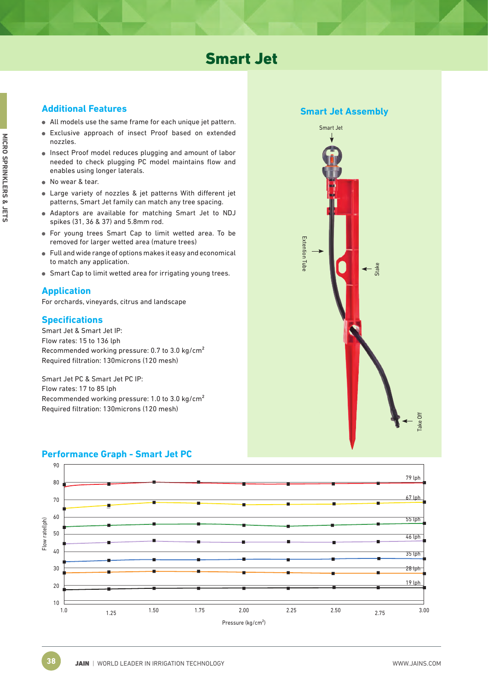## Smart Jet

- All models use the same frame for each unique jet pattern.
- Exclusive approach of insect Proof based on extended nozzles.
- Insect Proof model reduces plugging and amount of labor needed to check plugging PC model maintains flow and enables using longer laterals.
- No wear & tear.
- Large variety of nozzles & jet patterns With different jet patterns, Smart Jet family can match any tree spacing.
- Adaptors are available for matching Smart Jet to NDJ spikes (31, 36 & 37) and 5.8mm rod.
- For young trees Smart Cap to limit wetted area. To be removed for larger wetted area (mature trees)
- Full and wide range of options makes it easy and economical to match any application.
- Smart Cap to limit wetted area for irrigating young trees.

#### **Application**

For orchards, vineyards, citrus and landscape

#### **Specifications**

Smart Jet & Smart Jet IP: Flow rates: 15 to 136 lph Recommended working pressure: 0.7 to 3.0 kg/cm² Required filtration: 130microns (120 mesh)

Smart Jet PC & Smart Jet PC IP: Flow rates: 17 to 85 lph Recommended working pressure: 1.0 to 3.0 kg/cm² Required filtration: 130microns (120 mesh)



### **Performance Graph - Smart Jet PC**

**Smart Jet Assembly**

Stake

Smart Jet

Extention Tube

**Extention** lub

Take Off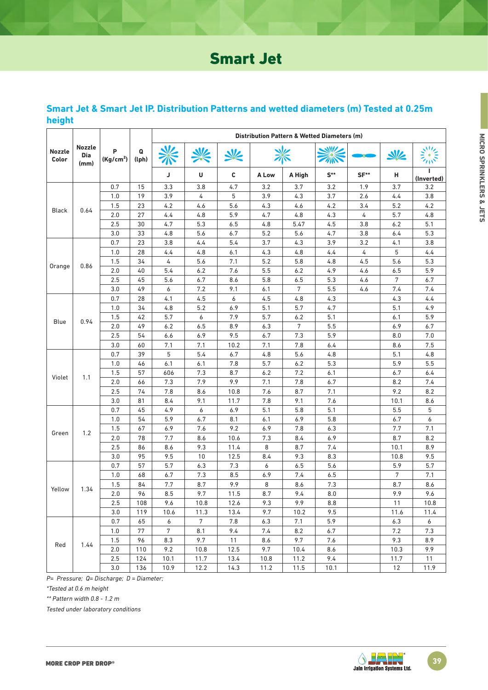# Smart Jet

|                                                             |      |                       |            | Distribution Pattern & Wetted Diameters (m) |                |      |       |        |          |            |      |                 |
|-------------------------------------------------------------|------|-----------------------|------------|---------------------------------------------|----------------|------|-------|--------|----------|------------|------|-----------------|
| <b>Nozzle</b><br><b>Nozzle</b><br>P<br>Dia<br>Color<br>(mm) |      | (Kg/cm <sup>2</sup> ) | Q<br>(lph) |                                             |                |      |       |        |          | $\sqrt{2}$ |      |                 |
|                                                             |      |                       |            | J                                           | U              | C    | A Low | A High | $S^{**}$ | SF**       | н    | ı<br>(Inverted) |
|                                                             |      | 0.7                   | 15         | 3.3                                         | 3.8            | 4.7  | 3.2   | 3.7    | 3.2      | 1.9        | 3.7  | 3.2             |
|                                                             |      | 1.0                   | 19         | 3.9                                         | 4              | 5    | 3.9   | 4.3    | 3.7      | 2.6        | 4.4  | 3.8             |
| <b>Black</b>                                                | 0.64 | 1.5                   | 23         | 4.2                                         | 4.6            | 5.6  | 4.3   | 4.6    | 4.2      | 3.4        | 5.2  | 4.2             |
|                                                             |      | 2.0                   | 27         | 4.4                                         | 4.8            | 5.9  | 4.7   | 4.8    | 4.3      | 4          | 5.7  | 4.8             |
|                                                             |      | 2.5                   | 30         | 4.7                                         | 5.3            | 6.5  | 4.8   | 5.47   | 4.5      | 3.8        | 6.2  | 5.1             |
|                                                             |      | 3.0                   | 33         | 4.8                                         | 5.6            | 6.7  | 5.2   | 5.6    | 4.7      | 3.8        | 6.4  | 5.3             |
|                                                             |      | 0.7                   | 23         | 3.8                                         | 4.4            | 5.4  | 3.7   | 4.3    | 3.9      | 3.2        | 4.1  | 3.8             |
|                                                             |      | 1.0                   | 28         | 4.4                                         | 4.8            | 6.1  | 4.3   | 4.8    | 4.4      | 4          | 5    | 4.4             |
|                                                             |      | 1.5                   | 34         | 4                                           | 5.6            | 7.1  | 5.2   | 5.8    | 4.8      | 4.5        | 5.6  | 5.3             |
| Orange                                                      | 0.86 | 2.0                   | 40         | 5.4                                         | 6.2            | 7.6  | 5.5   | 6.2    | 4.9      | 4.6        | 6.5  | 5.9             |
|                                                             |      | 2.5                   | 45         | 5.6                                         | 6.7            | 8.6  | 5.8   | 6.5    | 5.3      | 4.6        | 7    | 6.7             |
|                                                             |      | 3.0                   | 49         | 6                                           | 7.2            | 9.1  | 6.1   | 7      | 5.5      | 4.6        | 7.4  | 7.4             |
|                                                             |      | 0.7                   | 28         | 4.1                                         | 4.5            | 6    | 4.5   | 4.8    | 4.3      |            | 4.3  | 4.4             |
|                                                             |      | 1.0                   | 34         | 4.8                                         | 5.2            | 6.9  | 5.1   | 5.7    | 4.7      |            | 5.1  | 4.9             |
|                                                             |      | 1.5                   | 42         | 5.7                                         | 6              | 7.9  | 5.7   | 6.2    | 5.1      |            | 6.1  | 5.9             |
| Blue                                                        | 0.94 | 2.0                   | 49         | 6.2                                         | 6.5            | 8.9  | 6.3   | 7      | 5.5      |            | 6.9  | 6.7             |
|                                                             |      | 2.5                   | 54         | 6.6                                         | 6.9            | 9.5  | 6.7   | 7.3    | 5.9      |            | 8.0  | 7.0             |
|                                                             |      | 3.0                   | 60         | 7.1                                         | 7.1            | 10.2 | 7.1   | 7.8    | 6.4      |            | 8.6  | 7.5             |
|                                                             | 1.1  | 0.7                   | 39         | 5                                           | 5.4            | 6.7  | 4.8   | 5.6    | 4.8      |            | 5.1  | 4.8             |
|                                                             |      | 1.0                   | 46         | 6.1                                         | 6.1            | 7.8  | 5.7   | 6.2    | 5.3      |            | 5.9  | 5.5             |
|                                                             |      | 1.5                   | 57         | 606                                         | 7.3            | 8.7  | 6.2   | 7.2    | 6.1      |            | 6.7  | 6.4             |
| Violet                                                      |      | 2.0                   | 66         | 7.3                                         | 7.9            | 9.9  | 7.1   | 7.8    | 6.7      |            | 8.2  | 7.4             |
|                                                             |      | 2.5                   | 74         | 7.8                                         | 8.6            | 10.8 | 7.6   | 8.7    | 7.1      |            | 9.2  | 8.2             |
|                                                             |      | 3.0                   | 81         | 8.4                                         | 9.1            | 11.7 | 7.8   | 9.1    | 7.6      |            | 10.1 | 8.6             |
|                                                             |      | 0.7                   | 45         | 4.9                                         | 6              | 6.9  | 5.1   | 5.8    | 5.1      |            | 5.5  | 5               |
|                                                             |      | 1.0                   | 54         | 5.9                                         | 6.7            | 8.1  | 6.1   | 6.9    | 5.8      |            | 6.7  | 6               |
|                                                             | 1.2  | 1.5                   | 67         | 6.9                                         | 7.6            | 9.2  | 6.9   | 7.8    | 6.3      |            | 7.7  | 7.1             |
| Green                                                       |      | 2.0                   | 78         | 7.7                                         | 8.6            | 10.6 | 7.3   | 8.4    | 6.9      |            | 8.7  | 8.2             |
|                                                             |      | 2.5                   | 86         | 8.6                                         | 9.3            | 11.4 | 8     | 8.7    | 7.4      |            | 10.1 | 8.9             |
|                                                             |      | 3.0                   | 95         | 9.5                                         | 10             | 12.5 | 8.4   | 9.3    | 8.3      |            | 10.8 | 9.5             |
|                                                             |      | 0.7                   | 57         | 5.7                                         | 6.3            | 7.3  | 6     | 6.5    | 5.6      |            | 5.9  | 5.7             |
| Yellow                                                      | 1.34 | 1.0                   | 68         | 6.7                                         | 7.3            | 8.5  | 6.9   | 7.4    | 6.5      |            | 7    | 7.1             |
|                                                             |      | 1.5                   | 84         | 7.7                                         | 8.7            | 9.9  | 8     | 8.6    | 7.3      |            | 8.7  | 8.6             |
|                                                             |      | 2.0                   | 96         | 8.5                                         | 9.7            | 11.5 | 8.7   | 9.4    | 8.0      |            | 9.9  | 9.6             |
|                                                             |      | 2.5                   | 108        | 9.6                                         | 10.8           | 12.6 | 9.3   | 9.9    | 8.8      |            | 11   | 10.8            |
|                                                             |      | 3.0                   | 119        | 10.6                                        | 11.3           |      | 9.7   |        | 9.5      |            |      | 11.4            |
|                                                             |      | 0.7                   |            | 6                                           | 7 <sup>7</sup> | 13.4 |       | 10.2   |          |            | 11.6 | 6               |
|                                                             | 1.44 |                       | 65         |                                             |                | 7.8  | 6.3   | 7.1    | 5.9      |            | 6.3  |                 |
|                                                             |      | 1.0                   | 77         | $\sqrt{7}$                                  | 8.1            | 9.4  | 7.4   | 8.2    | 6.7      |            | 7.2  | 7.3             |
| Red                                                         |      | 1.5                   | 96         | 8.3                                         | 9.7            | 11   | 8.6   | 9.7    | 7.6      |            | 9.3  | 8.9             |
|                                                             |      | 2.0                   | 110        | 9.2                                         | 10.8           | 12.5 | 9.7   | 10.4   | 8.6      |            | 10.3 | 9.9             |
|                                                             |      | 2.5                   | 124        | 10.1                                        | 11.7           | 13.4 | 10.8  | 11.2   | 9.4      |            | 11.7 | 11              |
|                                                             |      | $3.0\,$               | 136        | 10.9                                        | 12.2           | 14.3 | 11.2  | 11.5   | 10.1     |            | 12   | 11.9            |

### **Smart Jet & Smart Jet IP. Distribution Patterns and wetted diameters (m) Tested at 0.25m height**

*P= Pressure; Q= Discharge; D = Diameter;* 

*\*Tested at 0.6 m height*

*\*\* Pattern width 0.8 - 1.2 m*

*Tested under laboratory conditions*